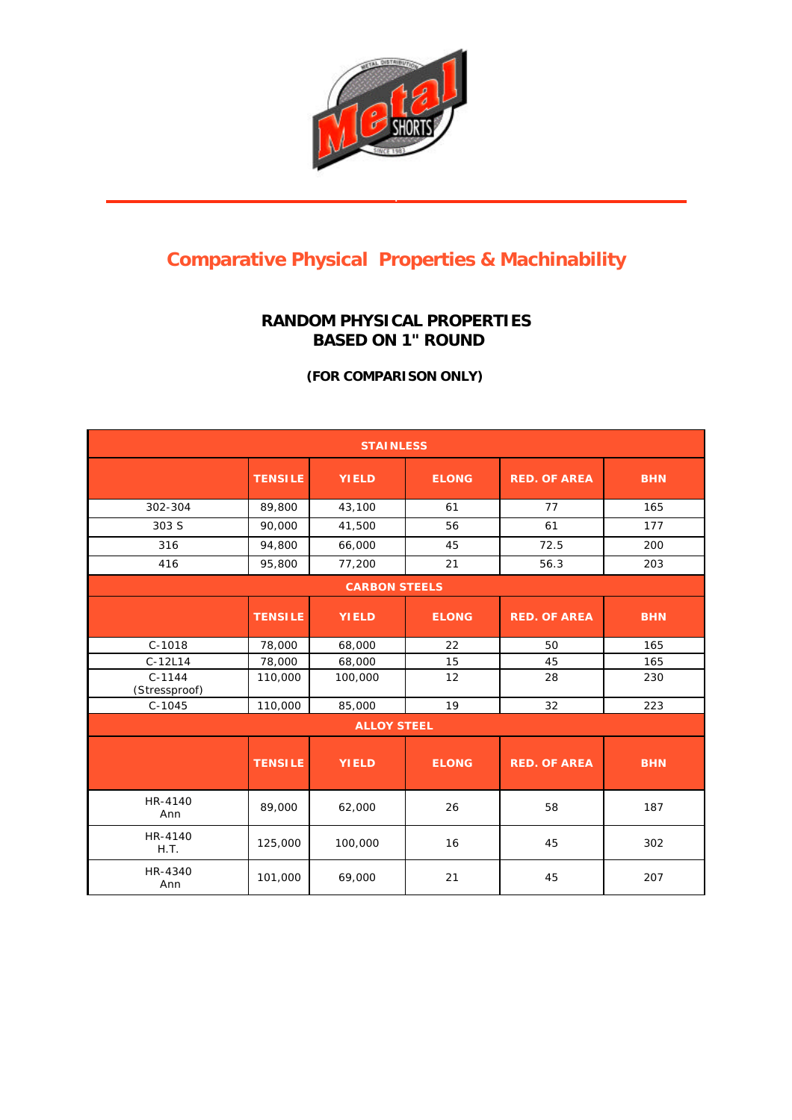

## **Comparative Physical Properties & Machinability**

## **RANDOM PHYSICAL PROPERTIES BASED ON 1" ROUND**

**(FOR COMPARISON ONLY)**

| <b>STAINLESS</b>          |                |              |              |                     |            |  |  |  |
|---------------------------|----------------|--------------|--------------|---------------------|------------|--|--|--|
|                           | <b>TENSILE</b> | <b>YIELD</b> | <b>ELONG</b> | <b>RED. OF AREA</b> | <b>BHN</b> |  |  |  |
| 302-304                   | 89,800         | 43,100       | 61           | 77                  | 165        |  |  |  |
| 303 S                     | 90,000         | 41,500       | 56           | 61                  | 177        |  |  |  |
| 316                       | 94,800         | 66,000       | 45           | 72.5                | 200        |  |  |  |
| 416                       | 95,800         | 77,200       | 21           | 56.3                | 203        |  |  |  |
| <b>CARBON STEELS</b>      |                |              |              |                     |            |  |  |  |
|                           | <b>TENSILE</b> | <b>YIELD</b> | <b>ELONG</b> | <b>RED. OF AREA</b> | <b>BHN</b> |  |  |  |
| $C-1018$                  | 78,000         | 68,000       | 22           | 50                  | 165        |  |  |  |
| $C-12L14$                 | 78,000         | 68,000       | 15           | 45                  | 165        |  |  |  |
| $C-1144$<br>(Stressproof) | 110,000        | 100,000      | 12           | 28                  | 230        |  |  |  |
| $C-1045$                  | 110,000        | 85,000       | 19           | 32                  | 223        |  |  |  |
| <b>ALLOY STEEL</b>        |                |              |              |                     |            |  |  |  |
|                           | <b>TENSILE</b> | <b>YIELD</b> | <b>ELONG</b> | <b>RED. OF AREA</b> | <b>BHN</b> |  |  |  |
| HR-4140<br>Ann            | 89,000         | 62,000       | 26           | 58                  | 187        |  |  |  |
| HR-4140<br>H.T.           | 125,000        | 100,000      | 16           | 45                  | 302        |  |  |  |
| HR-4340<br>Ann            | 101,000        | 69,000       | 21           | 45                  | 207        |  |  |  |